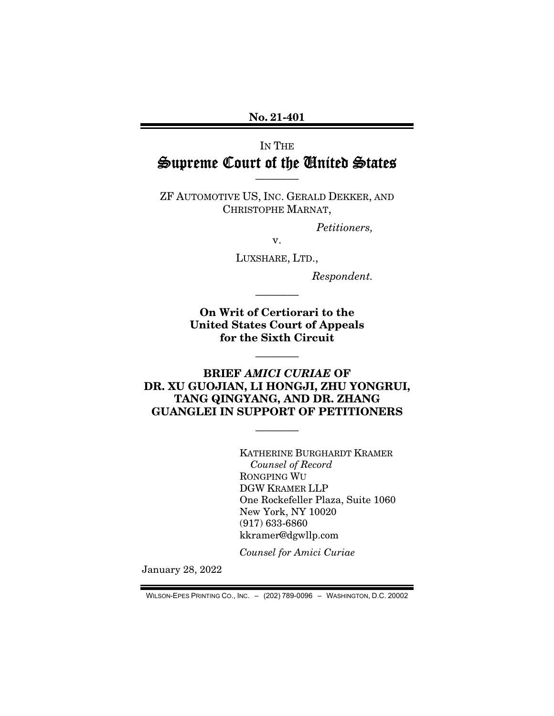No. 21-401

## IN THE Supreme Court of the United States

ZF AUTOMOTIVE US, INC. GERALD DEKKER, AND CHRISTOPHE MARNAT,

————

*Petitioners,* 

v.

LUXSHARE, LTD.,

*Respondent.* 

On Writ of Certiorari to the United States Court of Appeals for the Sixth Circuit

————

————

### BRIEF *AMICI CURIAE* OF DR. XU GUOJIAN, LI HONGJI, ZHU YONGRUI, TANG QINGYANG, AND DR. ZHANG GUANGLEI IN SUPPORT OF PETITIONERS

————

KATHERINE BURGHARDT KRAMER *Counsel of Record*  RONGPING WU DGW KRAMER LLP One Rockefeller Plaza, Suite 1060 New York, NY 10020 (917) 633-6860 kkramer@dgwllp.com

*Counsel for Amici Curiae* 

January 28, 2022

WILSON-EPES PRINTING CO., INC. – (202) 789-0096 – WASHINGTON, D.C. 20002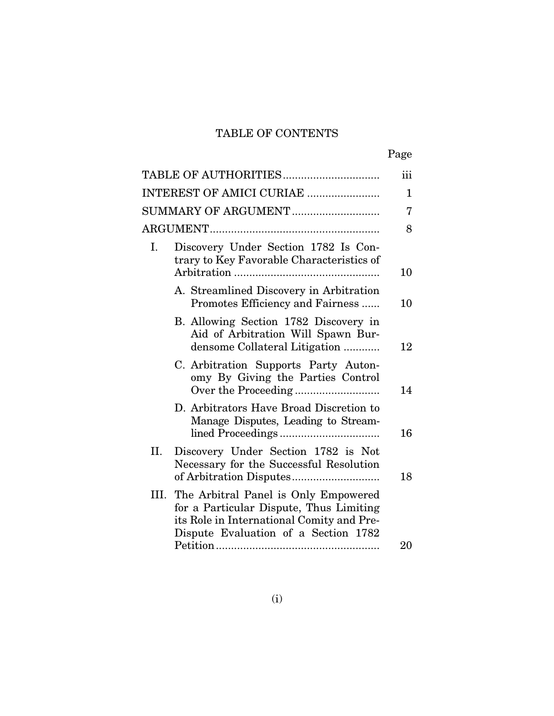## TABLE OF CONTENTS

|                     | TABLE OF AUTHORITIES                                                                                                                                                 | iii |
|---------------------|----------------------------------------------------------------------------------------------------------------------------------------------------------------------|-----|
|                     | INTEREST OF AMICI CURIAE                                                                                                                                             | 1   |
| SUMMARY OF ARGUMENT |                                                                                                                                                                      | 7   |
|                     |                                                                                                                                                                      | 8   |
| Ι.                  | Discovery Under Section 1782 Is Con-<br>trary to Key Favorable Characteristics of                                                                                    |     |
|                     |                                                                                                                                                                      | 10  |
|                     | A. Streamlined Discovery in Arbitration<br>Promotes Efficiency and Fairness                                                                                          | 10  |
|                     | B. Allowing Section 1782 Discovery in<br>Aid of Arbitration Will Spawn Bur-<br>densome Collateral Litigation                                                         | 12  |
|                     | C. Arbitration Supports Party Auton-<br>omy By Giving the Parties Control                                                                                            | 14  |
|                     | D. Arbitrators Have Broad Discretion to<br>Manage Disputes, Leading to Stream-                                                                                       | 16  |
| II.                 | Discovery Under Section 1782 is Not<br>Necessary for the Successful Resolution                                                                                       | 18  |
| III.                | The Arbitral Panel is Only Empowered<br>for a Particular Dispute, Thus Limiting<br>its Role in International Comity and Pre-<br>Dispute Evaluation of a Section 1782 |     |
|                     |                                                                                                                                                                      | 20  |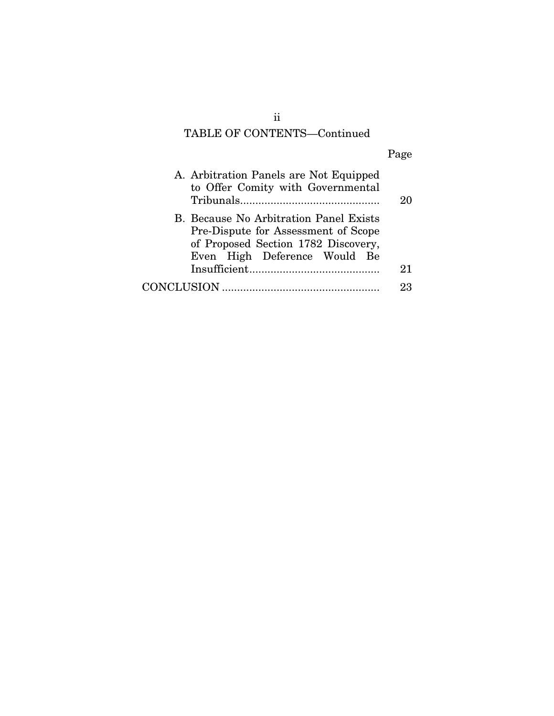# TABLE OF CONTENTS—Continued

|--|

| A. Arbitration Panels are Not Equipped<br>to Offer Comity with Governmental                                                                          |    |
|------------------------------------------------------------------------------------------------------------------------------------------------------|----|
| B. Because No Arbitration Panel Exists<br>Pre-Dispute for Assessment of Scope<br>of Proposed Section 1782 Discovery,<br>Even High Deference Would Be |    |
|                                                                                                                                                      | 21 |
|                                                                                                                                                      | 93 |

ii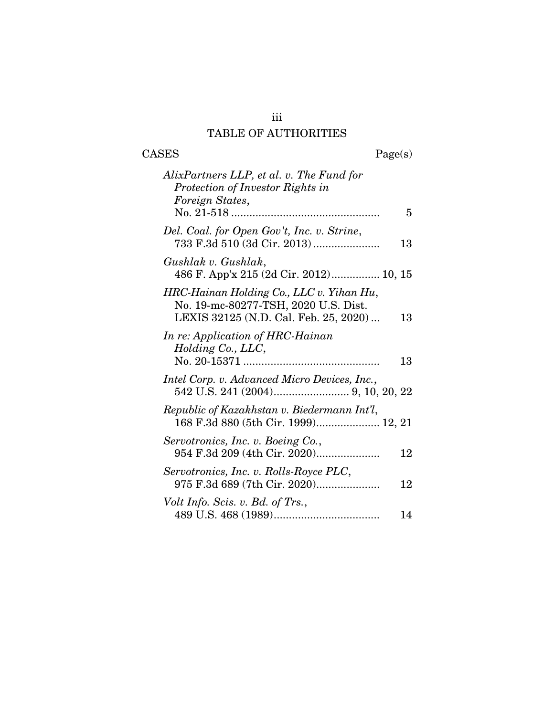## iii TABLE OF AUTHORITIES

 $\begin{tabular}{cc} \textbf{CASES} & \textbf{Page(s)}\\ \end{tabular}$ 

| AlixPartners LLP, et al. v. The Fund for<br>Protection of Investor Rights in<br>Foreign States,                           |    |
|---------------------------------------------------------------------------------------------------------------------------|----|
|                                                                                                                           | 5  |
| Del. Coal. for Open Gov't, Inc. v. Strine,<br>733 F.3d 510 (3d Cir. 2013)                                                 | 13 |
| Gushlak v. Gushlak,<br>486 F. App'x 215 (2d Cir. 2012) 10, 15                                                             |    |
| HRC-Hainan Holding Co., LLC v. Yihan Hu,<br>No. 19-mc-80277-TSH, 2020 U.S. Dist.<br>LEXIS 32125 (N.D. Cal. Feb. 25, 2020) | 13 |
| In re: Application of HRC-Hainan<br>Holding Co., LLC,                                                                     | 13 |
| Intel Corp. v. Advanced Micro Devices, Inc.,                                                                              |    |
| Republic of Kazakhstan v. Biedermann Int'l,<br>168 F.3d 880 (5th Cir. 1999) 12, 21                                        |    |
| Servotronics, Inc. v. Boeing Co.,<br>954 F.3d 209 (4th Cir. 2020)                                                         | 12 |
| Servotronics, Inc. v. Rolls-Royce PLC,<br>975 F.3d 689 (7th Cir. 2020)                                                    | 12 |
| Volt Info. Scis. v. Bd. of Trs.,                                                                                          | 14 |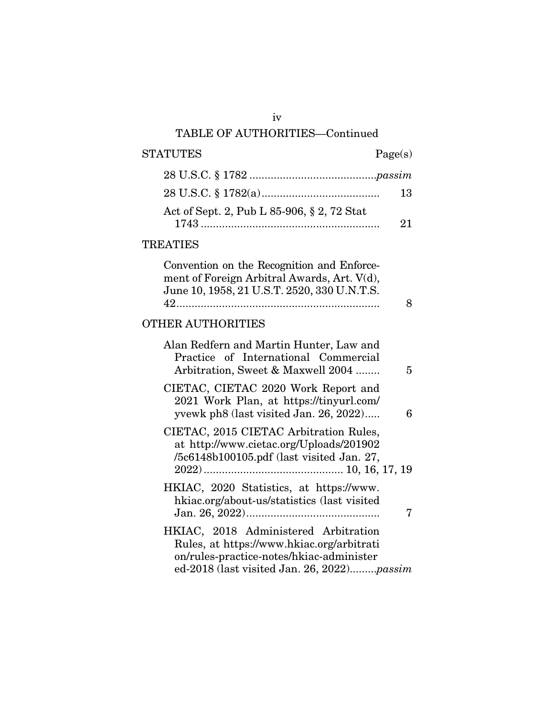## TABLE OF AUTHORITIES—Continued

## STATUTES Page(s) 28 U.S.C. § 1782 ..........................................*passim* 28 U.S.C. § 1782(a) ....................................... 13 Act of Sept. 2, Pub L 85-906, § 2, 72 Stat 1743 ........................................................... 21 TREATIES Convention on the Recognition and Enforcement of Foreign Arbitral Awards, Art. V(d), June 10, 1958, 21 U.S.T. 2520, 330 U.N.T.S. 42 ................................................................... 8 OTHER AUTHORITIES Alan Redfern and Martin Hunter, Law and Practice of International Commercial Arbitration, Sweet & Maxwell 2004 ........ 5 CIETAC, CIETAC 2020 Work Report and 2021 Work Plan, at https://tinyurl.com/ yvewk ph8 (last visited Jan. 26, 2022) ..... 6 CIETAC, 2015 CIETAC Arbitration Rules, at http://www.cietac.org/Uploads/201902 /5c6148b100105.pdf (last visited Jan. 27, 2022) .............................................. 10, 16, 17, 19 HKIAC, 2020 Statistics, at https://www. hkiac.org/about-us/statistics (last visited Jan. 26, 2022) ............................................ 7 HKIAC, 2018 Administered Arbitration Rules, at https://www.hkiac.org/arbitrati on/rules-practice-notes/hkiac-administer ed-2018 (last visited Jan. 26, 2022).........*passim*

iv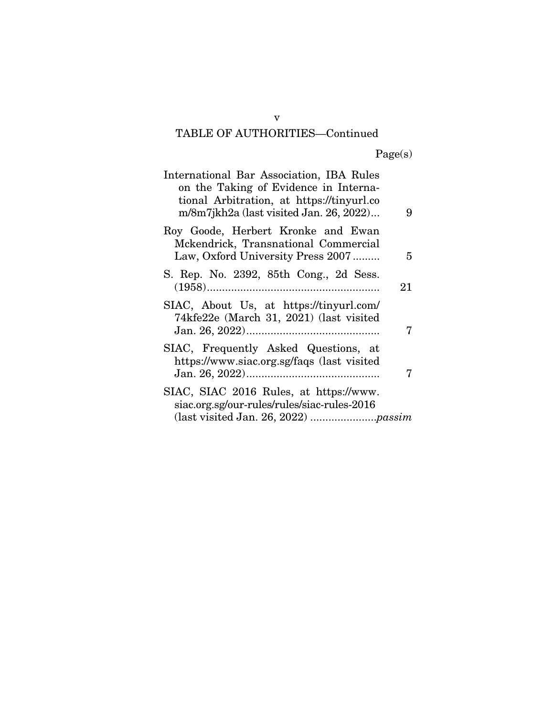# TABLE OF AUTHORITIES—Continued

Page(s)

| International Bar Association, IBA Rules<br>on the Taking of Evidence in Interna-<br>tional Arbitration, at https://tinyurl.co<br>m/8m7jkh2a (last visited Jan. 26, 2022) | 9  |
|---------------------------------------------------------------------------------------------------------------------------------------------------------------------------|----|
| Roy Goode, Herbert Kronke and Ewan<br>Mckendrick, Transnational Commercial<br>Law, Oxford University Press 2007                                                           | 5  |
| S. Rep. No. 2392, 85th Cong., 2d Sess.                                                                                                                                    | 21 |
| SIAC, About Us, at https://tinyurl.com/<br>74kfe22e (March 31, 2021) (last visited                                                                                        |    |
| SIAC, Frequently Asked Questions, at<br>https://www.siac.org.sg/faqs (last visited                                                                                        |    |
| SIAC, SIAC 2016 Rules, at https://www.<br>siac.org.sg/our-rules/rules/siac-rules-2016                                                                                     |    |

v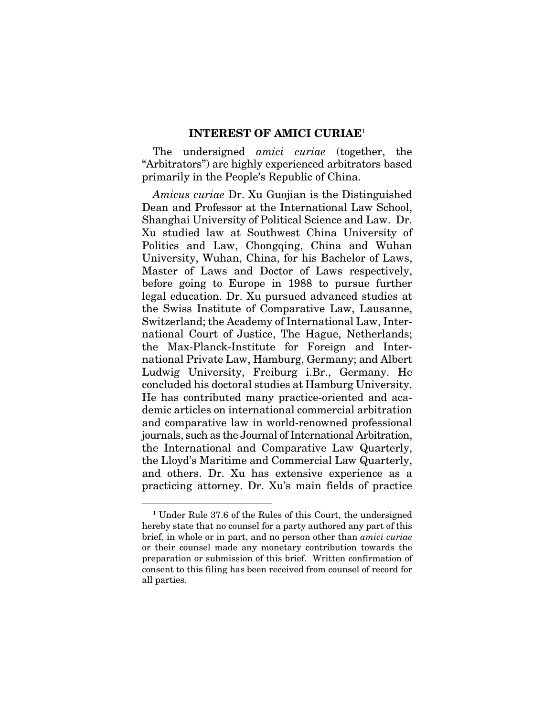#### INTEREST OF AMICI CURIAE<sup>1</sup>

The undersigned *amici curiae* (together, the "Arbitrators") are highly experienced arbitrators based primarily in the People's Republic of China.

*Amicus curiae* Dr. Xu Guojian is the Distinguished Dean and Professor at the International Law School, Shanghai University of Political Science and Law. Dr. Xu studied law at Southwest China University of Politics and Law, Chongqing, China and Wuhan University, Wuhan, China, for his Bachelor of Laws, Master of Laws and Doctor of Laws respectively, before going to Europe in 1988 to pursue further legal education. Dr. Xu pursued advanced studies at the Swiss Institute of Comparative Law, Lausanne, Switzerland; the Academy of International Law, International Court of Justice, The Hague, Netherlands; the Max-Planck-Institute for Foreign and International Private Law, Hamburg, Germany; and Albert Ludwig University, Freiburg i.Br., Germany. He concluded his doctoral studies at Hamburg University. He has contributed many practice-oriented and academic articles on international commercial arbitration and comparative law in world-renowned professional journals, such as the Journal of International Arbitration, the International and Comparative Law Quarterly, the Lloyd's Maritime and Commercial Law Quarterly, and others. Dr. Xu has extensive experience as a practicing attorney. Dr. Xu's main fields of practice

<sup>&</sup>lt;sup>1</sup> Under Rule 37.6 of the Rules of this Court, the undersigned hereby state that no counsel for a party authored any part of this brief, in whole or in part, and no person other than *amici curiae* or their counsel made any monetary contribution towards the preparation or submission of this brief. Written confirmation of consent to this filing has been received from counsel of record for all parties.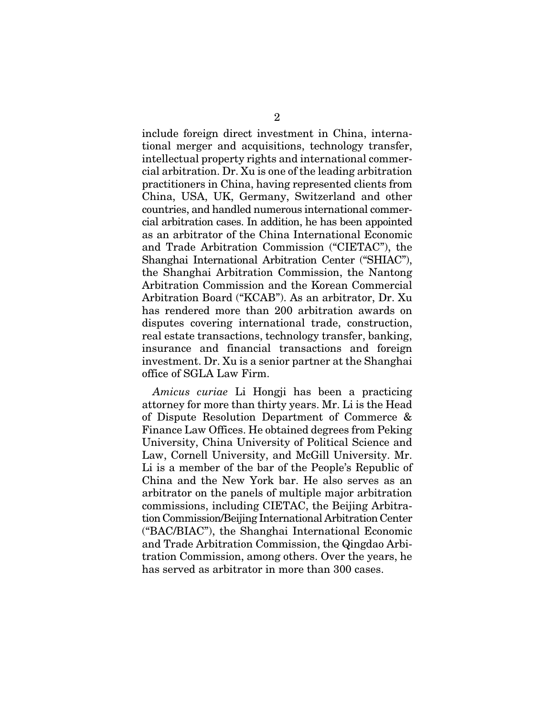include foreign direct investment in China, international merger and acquisitions, technology transfer, intellectual property rights and international commercial arbitration. Dr. Xu is one of the leading arbitration practitioners in China, having represented clients from China, USA, UK, Germany, Switzerland and other countries, and handled numerous international commercial arbitration cases. In addition, he has been appointed as an arbitrator of the China International Economic and Trade Arbitration Commission ("CIETAC"), the Shanghai International Arbitration Center ("SHIAC"), the Shanghai Arbitration Commission, the Nantong Arbitration Commission and the Korean Commercial Arbitration Board ("KCAB"). As an arbitrator, Dr. Xu has rendered more than 200 arbitration awards on disputes covering international trade, construction, real estate transactions, technology transfer, banking, insurance and financial transactions and foreign investment. Dr. Xu is a senior partner at the Shanghai office of SGLA Law Firm.

*Amicus curiae* Li Hongji has been a practicing attorney for more than thirty years. Mr. Li is the Head of Dispute Resolution Department of Commerce & Finance Law Offices. He obtained degrees from Peking University, China University of Political Science and Law, Cornell University, and McGill University. Mr. Li is a member of the bar of the People's Republic of China and the New York bar. He also serves as an arbitrator on the panels of multiple major arbitration commissions, including CIETAC, the Beijing Arbitration Commission/Beijing International Arbitration Center ("BAC/BIAC"), the Shanghai International Economic and Trade Arbitration Commission, the Qingdao Arbitration Commission, among others. Over the years, he has served as arbitrator in more than 300 cases.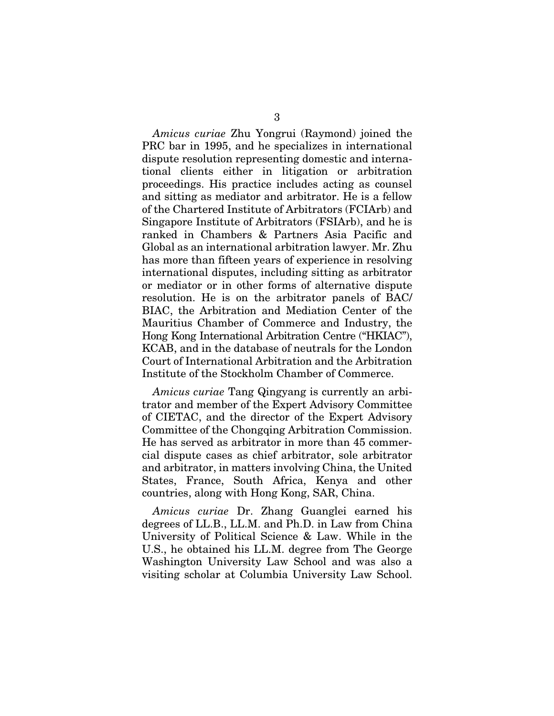*Amicus curiae* Zhu Yongrui (Raymond) joined the PRC bar in 1995, and he specializes in international dispute resolution representing domestic and international clients either in litigation or arbitration proceedings. His practice includes acting as counsel and sitting as mediator and arbitrator. He is a fellow of the Chartered Institute of Arbitrators (FCIArb) and Singapore Institute of Arbitrators (FSIArb), and he is ranked in Chambers & Partners Asia Pacific and Global as an international arbitration lawyer. Mr. Zhu has more than fifteen years of experience in resolving international disputes, including sitting as arbitrator or mediator or in other forms of alternative dispute resolution. He is on the arbitrator panels of BAC/ BIAC, the Arbitration and Mediation Center of the Mauritius Chamber of Commerce and Industry, the Hong Kong International Arbitration Centre ("HKIAC"), KCAB, and in the database of neutrals for the London Court of International Arbitration and the Arbitration Institute of the Stockholm Chamber of Commerce.

*Amicus curiae* Tang Qingyang is currently an arbitrator and member of the Expert Advisory Committee of CIETAC, and the director of the Expert Advisory Committee of the Chongqing Arbitration Commission. He has served as arbitrator in more than 45 commercial dispute cases as chief arbitrator, sole arbitrator and arbitrator, in matters involving China, the United States, France, South Africa, Kenya and other countries, along with Hong Kong, SAR, China.

*Amicus curiae* Dr. Zhang Guanglei earned his degrees of LL.B., LL.M. and Ph.D. in Law from China University of Political Science & Law. While in the U.S., he obtained his LL.M. degree from The George Washington University Law School and was also a visiting scholar at Columbia University Law School.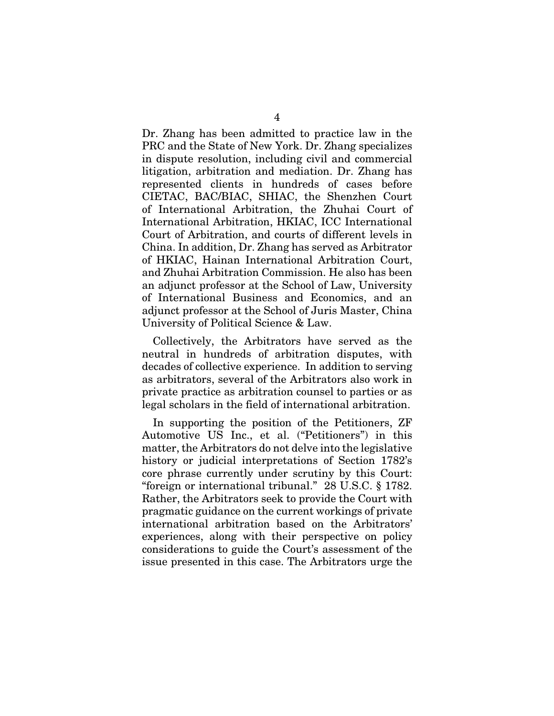Dr. Zhang has been admitted to practice law in the PRC and the State of New York. Dr. Zhang specializes in dispute resolution, including civil and commercial litigation, arbitration and mediation. Dr. Zhang has represented clients in hundreds of cases before CIETAC, BAC/BIAC, SHIAC, the Shenzhen Court of International Arbitration, the Zhuhai Court of International Arbitration, HKIAC, ICC International Court of Arbitration, and courts of different levels in China. In addition, Dr. Zhang has served as Arbitrator of HKIAC, Hainan International Arbitration Court, and Zhuhai Arbitration Commission. He also has been an adjunct professor at the School of Law, University of International Business and Economics, and an adjunct professor at the School of Juris Master, China University of Political Science & Law.

Collectively, the Arbitrators have served as the neutral in hundreds of arbitration disputes, with decades of collective experience. In addition to serving as arbitrators, several of the Arbitrators also work in private practice as arbitration counsel to parties or as legal scholars in the field of international arbitration.

In supporting the position of the Petitioners, ZF Automotive US Inc., et al. ("Petitioners") in this matter, the Arbitrators do not delve into the legislative history or judicial interpretations of Section 1782's core phrase currently under scrutiny by this Court: "foreign or international tribunal." 28 U.S.C. § 1782. Rather, the Arbitrators seek to provide the Court with pragmatic guidance on the current workings of private international arbitration based on the Arbitrators' experiences, along with their perspective on policy considerations to guide the Court's assessment of the issue presented in this case. The Arbitrators urge the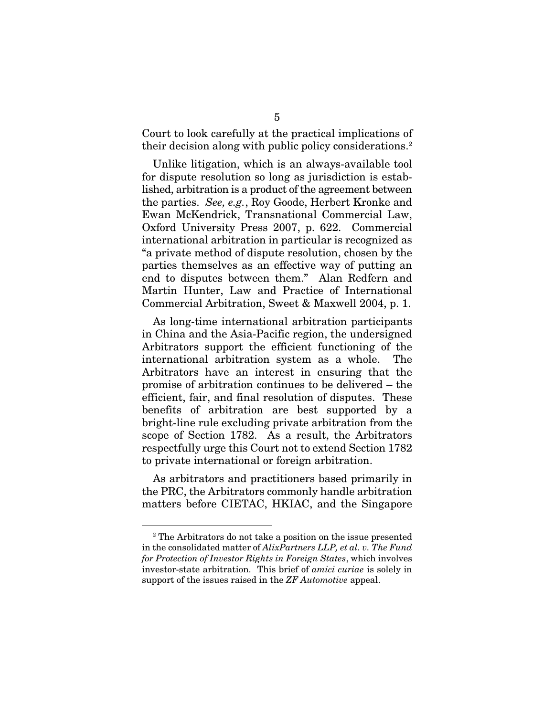Court to look carefully at the practical implications of their decision along with public policy considerations.<sup>2</sup>

Unlike litigation, which is an always-available tool for dispute resolution so long as jurisdiction is established, arbitration is a product of the agreement between the parties. *See, e.g.*, Roy Goode, Herbert Kronke and Ewan McKendrick, Transnational Commercial Law, Oxford University Press 2007, p. 622. Commercial international arbitration in particular is recognized as "a private method of dispute resolution, chosen by the parties themselves as an effective way of putting an end to disputes between them." Alan Redfern and Martin Hunter, Law and Practice of International Commercial Arbitration, Sweet & Maxwell 2004, p. 1.

As long-time international arbitration participants in China and the Asia-Pacific region, the undersigned Arbitrators support the efficient functioning of the international arbitration system as a whole. The Arbitrators have an interest in ensuring that the promise of arbitration continues to be delivered – the efficient, fair, and final resolution of disputes. These benefits of arbitration are best supported by a bright-line rule excluding private arbitration from the scope of Section 1782. As a result, the Arbitrators respectfully urge this Court not to extend Section 1782 to private international or foreign arbitration.

As arbitrators and practitioners based primarily in the PRC, the Arbitrators commonly handle arbitration matters before CIETAC, HKIAC, and the Singapore

<sup>2</sup> The Arbitrators do not take a position on the issue presented in the consolidated matter of *AlixPartners LLP, et al. v. The Fund for Protection of Investor Rights in Foreign States*, which involves investor-state arbitration. This brief of *amici curiae* is solely in support of the issues raised in the *ZF Automotive* appeal.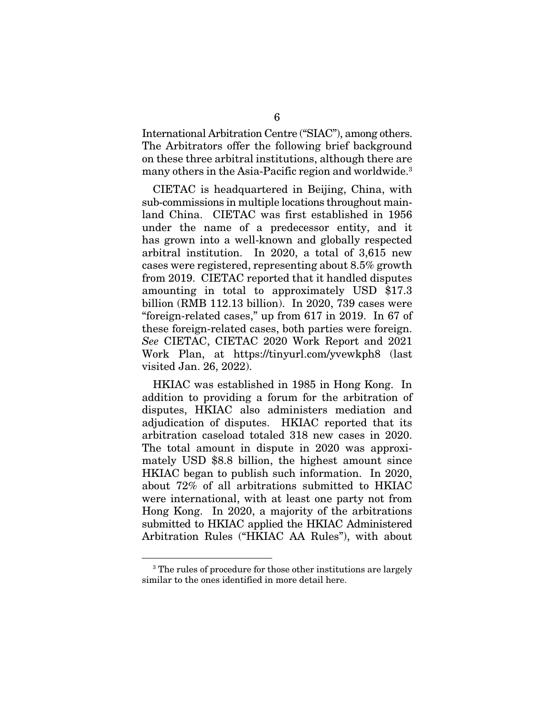International Arbitration Centre ("SIAC"), among others. The Arbitrators offer the following brief background on these three arbitral institutions, although there are many others in the Asia-Pacific region and worldwide.3

CIETAC is headquartered in Beijing, China, with sub-commissions in multiple locations throughout mainland China. CIETAC was first established in 1956 under the name of a predecessor entity, and it has grown into a well-known and globally respected arbitral institution. In 2020, a total of 3,615 new cases were registered, representing about 8.5% growth from 2019. CIETAC reported that it handled disputes amounting in total to approximately USD \$17.3 billion (RMB 112.13 billion). In 2020, 739 cases were "foreign-related cases," up from 617 in 2019. In 67 of these foreign-related cases, both parties were foreign. *See* CIETAC, CIETAC 2020 Work Report and 2021 Work Plan, at https://tinyurl.com/yvewkph8 (last visited Jan. 26, 2022).

HKIAC was established in 1985 in Hong Kong. In addition to providing a forum for the arbitration of disputes, HKIAC also administers mediation and adjudication of disputes. HKIAC reported that its arbitration caseload totaled 318 new cases in 2020. The total amount in dispute in 2020 was approximately USD \$8.8 billion, the highest amount since HKIAC began to publish such information. In 2020, about 72% of all arbitrations submitted to HKIAC were international, with at least one party not from Hong Kong. In 2020, a majority of the arbitrations submitted to HKIAC applied the HKIAC Administered Arbitration Rules ("HKIAC AA Rules"), with about

<sup>&</sup>lt;sup>3</sup> The rules of procedure for those other institutions are largely similar to the ones identified in more detail here.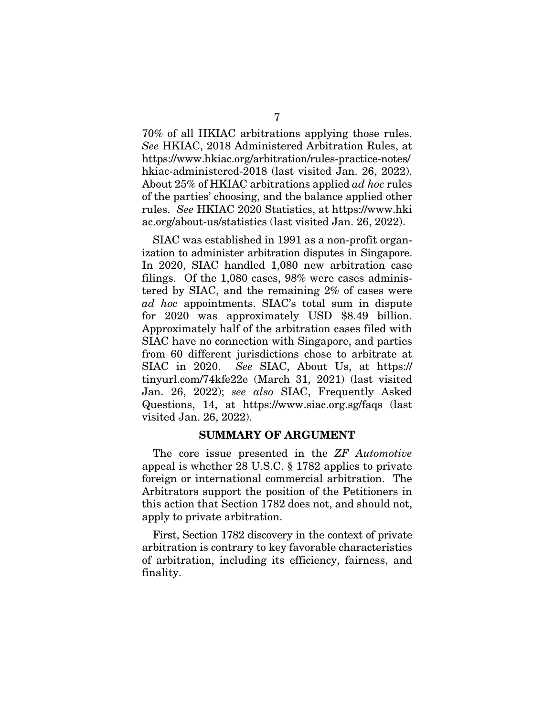70% of all HKIAC arbitrations applying those rules. *See* HKIAC, 2018 Administered Arbitration Rules, at https://www.hkiac.org/arbitration/rules-practice-notes/ hkiac-administered-2018 (last visited Jan. 26, 2022). About 25% of HKIAC arbitrations applied *ad hoc* rules of the parties' choosing, and the balance applied other rules. *See* HKIAC 2020 Statistics, at https://www.hki ac.org/about-us/statistics (last visited Jan. 26, 2022).

SIAC was established in 1991 as a non-profit organization to administer arbitration disputes in Singapore. In 2020, SIAC handled 1,080 new arbitration case filings. Of the 1,080 cases, 98% were cases administered by SIAC, and the remaining 2% of cases were *ad hoc* appointments. SIAC's total sum in dispute for 2020 was approximately USD \$8.49 billion. Approximately half of the arbitration cases filed with SIAC have no connection with Singapore, and parties from 60 different jurisdictions chose to arbitrate at SIAC in 2020. *See* SIAC, About Us, at https:// tinyurl.com/74kfe22e (March 31, 2021) (last visited Jan. 26, 2022); *see also* SIAC, Frequently Asked Questions, 14, at https://www.siac.org.sg/faqs (last visited Jan. 26, 2022).

#### SUMMARY OF ARGUMENT

The core issue presented in the *ZF Automotive* appeal is whether 28 U.S.C. § 1782 applies to private foreign or international commercial arbitration. The Arbitrators support the position of the Petitioners in this action that Section 1782 does not, and should not, apply to private arbitration.

First, Section 1782 discovery in the context of private arbitration is contrary to key favorable characteristics of arbitration, including its efficiency, fairness, and finality.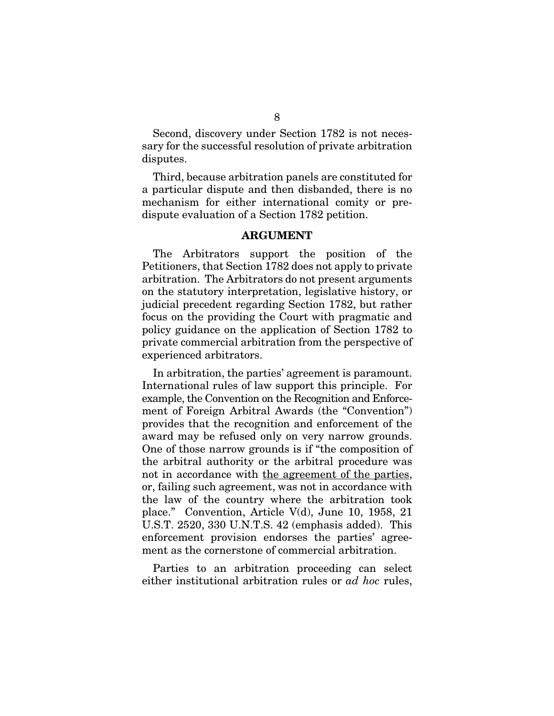Second, discovery under Section 1782 is not necessary for the successful resolution of private arbitration disputes.

Third, because arbitration panels are constituted for a particular dispute and then disbanded, there is no mechanism for either international comity or predispute evaluation of a Section 1782 petition.

#### ARGUMENT

The Arbitrators support the position of the Petitioners, that Section 1782 does not apply to private arbitration. The Arbitrators do not present arguments on the statutory interpretation, legislative history, or judicial precedent regarding Section 1782, but rather focus on the providing the Court with pragmatic and policy guidance on the application of Section 1782 to private commercial arbitration from the perspective of experienced arbitrators.

In arbitration, the parties' agreement is paramount. International rules of law support this principle. For example, the Convention on the Recognition and Enforcement of Foreign Arbitral Awards (the "Convention") provides that the recognition and enforcement of the award may be refused only on very narrow grounds. One of those narrow grounds is if "the composition of the arbitral authority or the arbitral procedure was not in accordance with the agreement of the parties, or, failing such agreement, was not in accordance with the law of the country where the arbitration took place." Convention, Article V(d), June 10, 1958, 21 U.S.T. 2520, 330 U.N.T.S. 42 (emphasis added). This enforcement provision endorses the parties' agreement as the cornerstone of commercial arbitration.

Parties to an arbitration proceeding can select either institutional arbitration rules or *ad hoc* rules,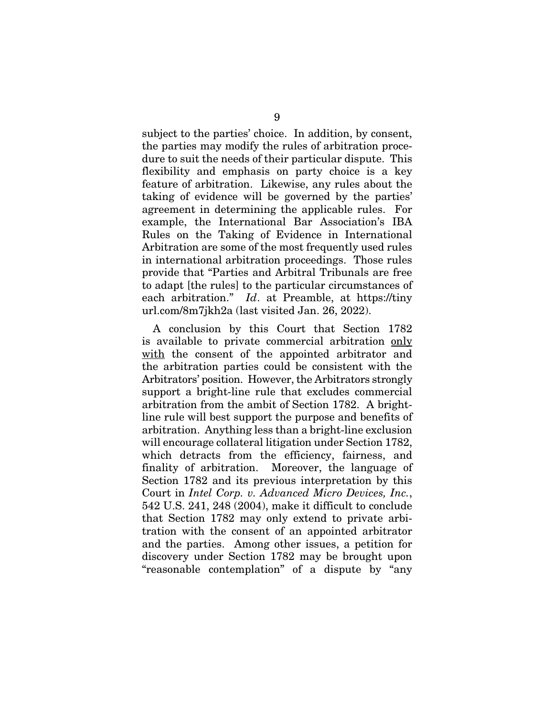subject to the parties' choice. In addition, by consent, the parties may modify the rules of arbitration procedure to suit the needs of their particular dispute. This flexibility and emphasis on party choice is a key feature of arbitration. Likewise, any rules about the taking of evidence will be governed by the parties' agreement in determining the applicable rules. For example, the International Bar Association's IBA Rules on the Taking of Evidence in International Arbitration are some of the most frequently used rules in international arbitration proceedings. Those rules provide that "Parties and Arbitral Tribunals are free to adapt [the rules] to the particular circumstances of each arbitration." *Id*. at Preamble, at https://tiny url.com/8m7jkh2a (last visited Jan. 26, 2022).

A conclusion by this Court that Section 1782 is available to private commercial arbitration only with the consent of the appointed arbitrator and the arbitration parties could be consistent with the Arbitrators' position. However, the Arbitrators strongly support a bright-line rule that excludes commercial arbitration from the ambit of Section 1782. A brightline rule will best support the purpose and benefits of arbitration. Anything less than a bright-line exclusion will encourage collateral litigation under Section 1782, which detracts from the efficiency, fairness, and finality of arbitration. Moreover, the language of Section 1782 and its previous interpretation by this Court in *Intel Corp. v. Advanced Micro Devices, Inc.*, 542 U.S. 241, 248 (2004), make it difficult to conclude that Section 1782 may only extend to private arbitration with the consent of an appointed arbitrator and the parties. Among other issues, a petition for discovery under Section 1782 may be brought upon "reasonable contemplation" of a dispute by "any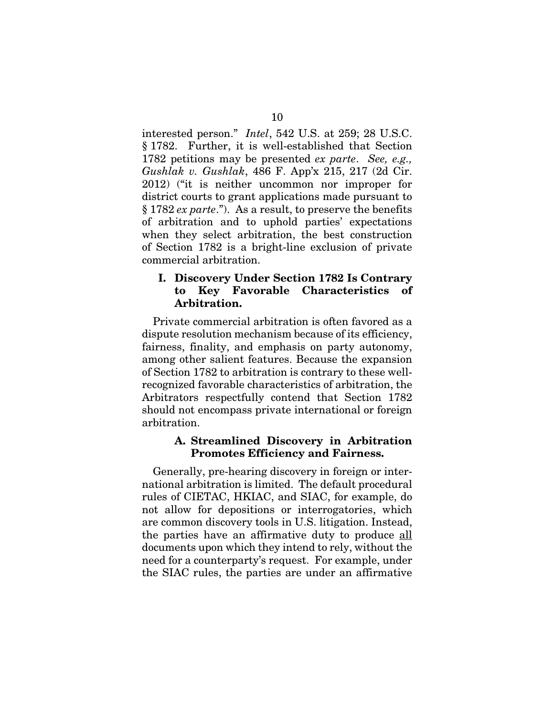interested person." *Intel*, 542 U.S. at 259; 28 U.S.C. § 1782. Further, it is well-established that Section 1782 petitions may be presented *ex parte*. *See, e.g., Gushlak v. Gushlak*, 486 F. App'x 215, 217 (2d Cir. 2012) ("it is neither uncommon nor improper for district courts to grant applications made pursuant to § 1782 *ex parte*."). As a result, to preserve the benefits of arbitration and to uphold parties' expectations when they select arbitration, the best construction of Section 1782 is a bright-line exclusion of private commercial arbitration.

#### I. Discovery Under Section 1782 Is Contrary to Key Favorable Characteristics of Arbitration.

Private commercial arbitration is often favored as a dispute resolution mechanism because of its efficiency, fairness, finality, and emphasis on party autonomy, among other salient features. Because the expansion of Section 1782 to arbitration is contrary to these wellrecognized favorable characteristics of arbitration, the Arbitrators respectfully contend that Section 1782 should not encompass private international or foreign arbitration.

#### A. Streamlined Discovery in Arbitration Promotes Efficiency and Fairness.

Generally, pre-hearing discovery in foreign or international arbitration is limited. The default procedural rules of CIETAC, HKIAC, and SIAC, for example, do not allow for depositions or interrogatories, which are common discovery tools in U.S. litigation. Instead, the parties have an affirmative duty to produce all documents upon which they intend to rely, without the need for a counterparty's request. For example, under the SIAC rules, the parties are under an affirmative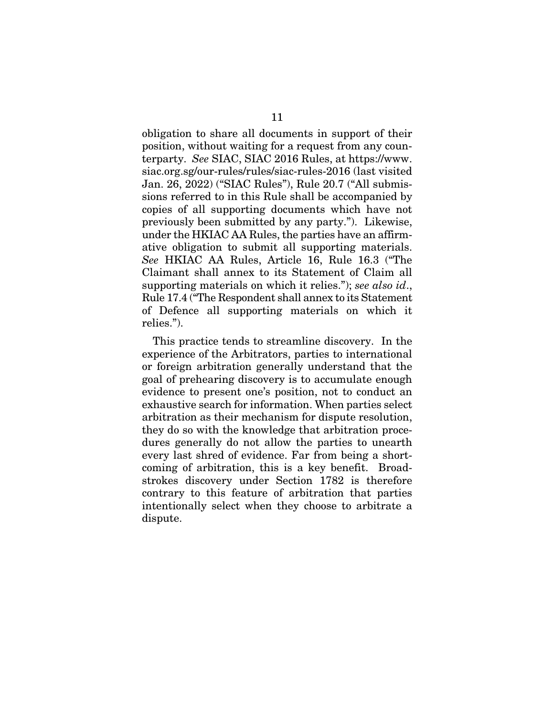obligation to share all documents in support of their position, without waiting for a request from any counterparty. *See* SIAC, SIAC 2016 Rules, at https://www. siac.org.sg/our-rules/rules/siac-rules-2016 (last visited Jan. 26, 2022) ("SIAC Rules"), Rule 20.7 ("All submissions referred to in this Rule shall be accompanied by copies of all supporting documents which have not previously been submitted by any party."). Likewise, under the HKIAC AA Rules, the parties have an affirmative obligation to submit all supporting materials. *See* HKIAC AA Rules, Article 16, Rule 16.3 ("The Claimant shall annex to its Statement of Claim all supporting materials on which it relies."); *see also id*., Rule 17.4 ("The Respondent shall annex to its Statement of Defence all supporting materials on which it relies.").

This practice tends to streamline discovery. In the experience of the Arbitrators, parties to international or foreign arbitration generally understand that the goal of prehearing discovery is to accumulate enough evidence to present one's position, not to conduct an exhaustive search for information. When parties select arbitration as their mechanism for dispute resolution, they do so with the knowledge that arbitration procedures generally do not allow the parties to unearth every last shred of evidence. Far from being a shortcoming of arbitration, this is a key benefit. Broadstrokes discovery under Section 1782 is therefore contrary to this feature of arbitration that parties intentionally select when they choose to arbitrate a dispute.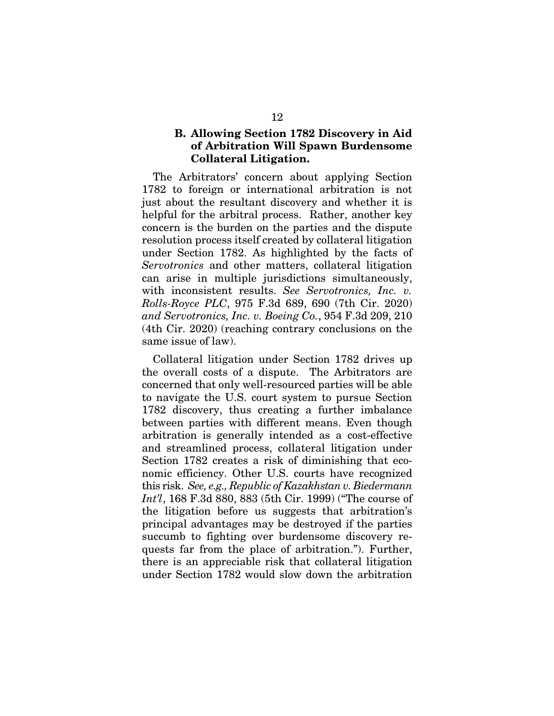### B. Allowing Section 1782 Discovery in Aid of Arbitration Will Spawn Burdensome Collateral Litigation.

The Arbitrators' concern about applying Section 1782 to foreign or international arbitration is not just about the resultant discovery and whether it is helpful for the arbitral process. Rather, another key concern is the burden on the parties and the dispute resolution process itself created by collateral litigation under Section 1782. As highlighted by the facts of *Servotronics* and other matters, collateral litigation can arise in multiple jurisdictions simultaneously, with inconsistent results. *See Servotronics, Inc. v. Rolls-Royce PLC*, 975 F.3d 689, 690 (7th Cir. 2020) *and Servotronics, Inc. v. Boeing Co.*, 954 F.3d 209, 210 (4th Cir. 2020) (reaching contrary conclusions on the same issue of law).

Collateral litigation under Section 1782 drives up the overall costs of a dispute. The Arbitrators are concerned that only well-resourced parties will be able to navigate the U.S. court system to pursue Section 1782 discovery, thus creating a further imbalance between parties with different means. Even though arbitration is generally intended as a cost-effective and streamlined process, collateral litigation under Section 1782 creates a risk of diminishing that economic efficiency. Other U.S. courts have recognized this risk. *See, e.g., Republic of Kazakhstan v. Biedermann Int'l*, 168 F.3d 880, 883 (5th Cir. 1999) ("The course of the litigation before us suggests that arbitration's principal advantages may be destroyed if the parties succumb to fighting over burdensome discovery requests far from the place of arbitration."). Further, there is an appreciable risk that collateral litigation under Section 1782 would slow down the arbitration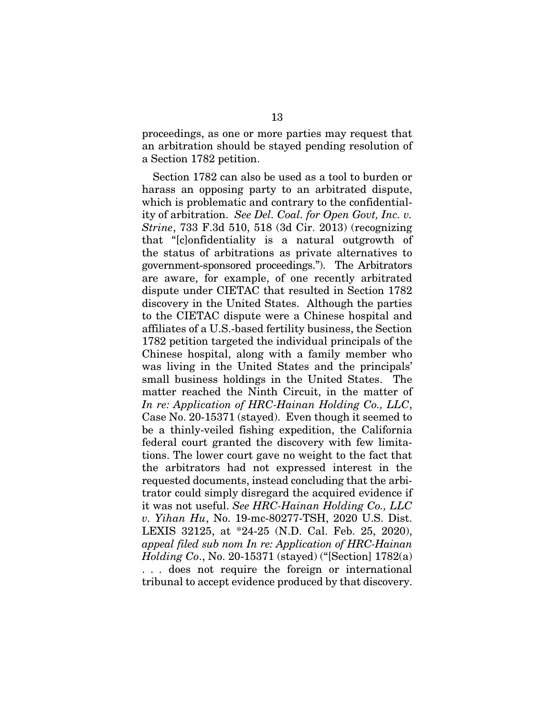proceedings, as one or more parties may request that an arbitration should be stayed pending resolution of a Section 1782 petition.

Section 1782 can also be used as a tool to burden or harass an opposing party to an arbitrated dispute, which is problematic and contrary to the confidentiality of arbitration. *See Del. Coal. for Open Govt, Inc. v. Strine*, 733 F.3d 510, 518 (3d Cir. 2013) (recognizing that "[c]onfidentiality is a natural outgrowth of the status of arbitrations as private alternatives to government-sponsored proceedings."). The Arbitrators are aware, for example, of one recently arbitrated dispute under CIETAC that resulted in Section 1782 discovery in the United States. Although the parties to the CIETAC dispute were a Chinese hospital and affiliates of a U.S.-based fertility business, the Section 1782 petition targeted the individual principals of the Chinese hospital, along with a family member who was living in the United States and the principals' small business holdings in the United States. The matter reached the Ninth Circuit, in the matter of *In re: Application of HRC-Hainan Holding Co., LLC*, Case No. 20-15371 (stayed). Even though it seemed to be a thinly-veiled fishing expedition, the California federal court granted the discovery with few limitations. The lower court gave no weight to the fact that the arbitrators had not expressed interest in the requested documents, instead concluding that the arbitrator could simply disregard the acquired evidence if it was not useful. *See HRC-Hainan Holding Co., LLC v. Yihan Hu*, No. 19-mc-80277-TSH, 2020 U.S. Dist. LEXIS 32125, at \*24-25 (N.D. Cal. Feb. 25, 2020), *appeal filed sub nom In re: Application of HRC-Hainan Holding Co*., No. 20-15371 (stayed) ("[Section] 1782(a) . . . does not require the foreign or international tribunal to accept evidence produced by that discovery.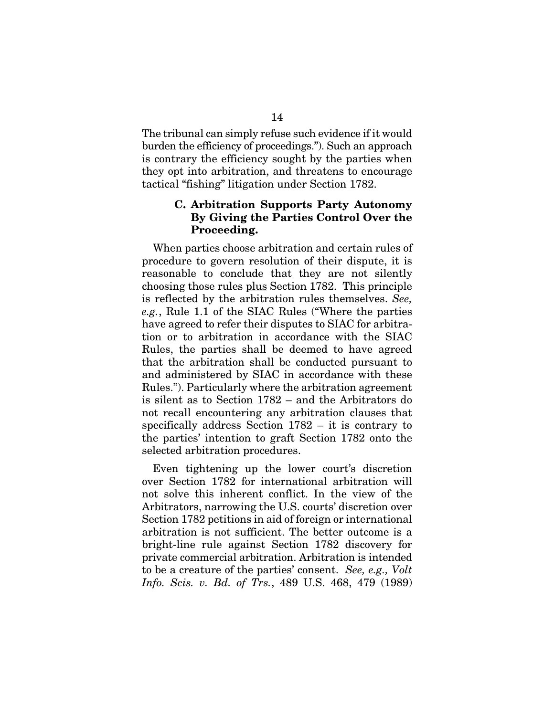The tribunal can simply refuse such evidence if it would burden the efficiency of proceedings."). Such an approach is contrary the efficiency sought by the parties when they opt into arbitration, and threatens to encourage tactical "fishing" litigation under Section 1782.

#### C. Arbitration Supports Party Autonomy By Giving the Parties Control Over the Proceeding.

When parties choose arbitration and certain rules of procedure to govern resolution of their dispute, it is reasonable to conclude that they are not silently choosing those rules plus Section 1782. This principle is reflected by the arbitration rules themselves. *See, e.g.*, Rule 1.1 of the SIAC Rules ("Where the parties have agreed to refer their disputes to SIAC for arbitration or to arbitration in accordance with the SIAC Rules, the parties shall be deemed to have agreed that the arbitration shall be conducted pursuant to and administered by SIAC in accordance with these Rules."). Particularly where the arbitration agreement is silent as to Section 1782 – and the Arbitrators do not recall encountering any arbitration clauses that specifically address Section 1782 – it is contrary to the parties' intention to graft Section 1782 onto the selected arbitration procedures.

Even tightening up the lower court's discretion over Section 1782 for international arbitration will not solve this inherent conflict. In the view of the Arbitrators, narrowing the U.S. courts' discretion over Section 1782 petitions in aid of foreign or international arbitration is not sufficient. The better outcome is a bright-line rule against Section 1782 discovery for private commercial arbitration. Arbitration is intended to be a creature of the parties' consent. *See, e.g., Volt Info. Scis. v. Bd. of Trs.*, 489 U.S. 468, 479 (1989)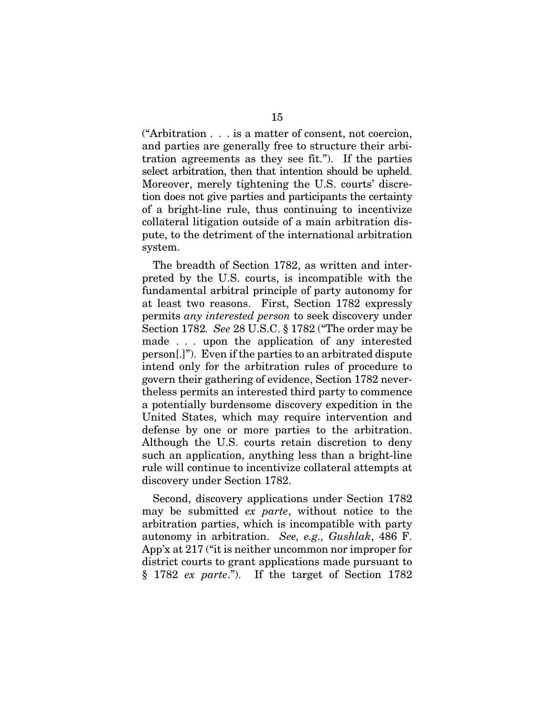("Arbitration . . . is a matter of consent, not coercion, and parties are generally free to structure their arbitration agreements as they see fit."). If the parties select arbitration, then that intention should be upheld. Moreover, merely tightening the U.S. courts' discretion does not give parties and participants the certainty of a bright-line rule, thus continuing to incentivize collateral litigation outside of a main arbitration dispute, to the detriment of the international arbitration system.

The breadth of Section 1782, as written and interpreted by the U.S. courts, is incompatible with the fundamental arbitral principle of party autonomy for at least two reasons. First, Section 1782 expressly permits *any interested person* to seek discovery under Section 1782*. See* 28 U.S.C. § 1782 ("The order may be made . . . upon the application of any interested person[.]"). Even if the parties to an arbitrated dispute intend only for the arbitration rules of procedure to govern their gathering of evidence, Section 1782 nevertheless permits an interested third party to commence a potentially burdensome discovery expedition in the United States, which may require intervention and defense by one or more parties to the arbitration. Although the U.S. courts retain discretion to deny such an application, anything less than a bright-line rule will continue to incentivize collateral attempts at discovery under Section 1782.

Second, discovery applications under Section 1782 may be submitted *ex parte*, without notice to the arbitration parties, which is incompatible with party autonomy in arbitration. *See, e.g., Gushlak*, 486 F. App'x at 217 ("it is neither uncommon nor improper for district courts to grant applications made pursuant to § 1782 *ex parte*."). If the target of Section 1782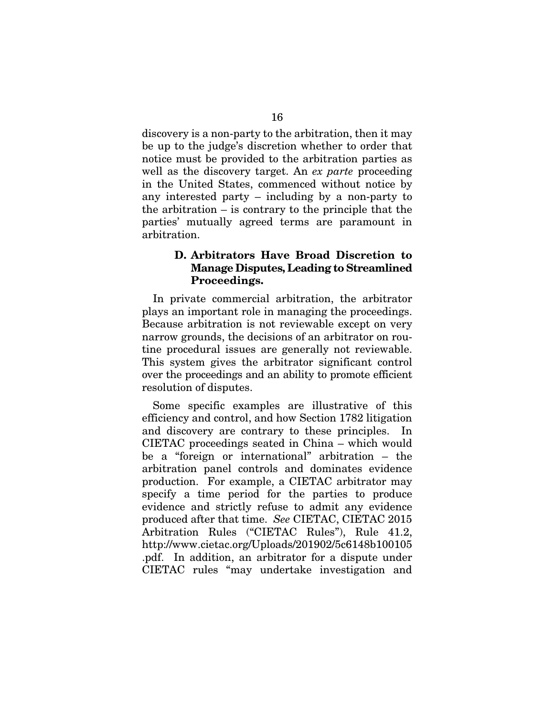discovery is a non-party to the arbitration, then it may be up to the judge's discretion whether to order that notice must be provided to the arbitration parties as well as the discovery target. An *ex parte* proceeding in the United States, commenced without notice by any interested party – including by a non-party to the arbitration – is contrary to the principle that the parties' mutually agreed terms are paramount in arbitration.

### D. Arbitrators Have Broad Discretion to Manage Disputes, Leading to Streamlined Proceedings.

In private commercial arbitration, the arbitrator plays an important role in managing the proceedings. Because arbitration is not reviewable except on very narrow grounds, the decisions of an arbitrator on routine procedural issues are generally not reviewable. This system gives the arbitrator significant control over the proceedings and an ability to promote efficient resolution of disputes.

Some specific examples are illustrative of this efficiency and control, and how Section 1782 litigation and discovery are contrary to these principles. In CIETAC proceedings seated in China – which would be a "foreign or international" arbitration – the arbitration panel controls and dominates evidence production. For example, a CIETAC arbitrator may specify a time period for the parties to produce evidence and strictly refuse to admit any evidence produced after that time. *See* CIETAC, CIETAC 2015 Arbitration Rules ("CIETAC Rules"), Rule 41.2, http://www.cietac.org/Uploads/201902/5c6148b100105 .pdf. In addition, an arbitrator for a dispute under CIETAC rules "may undertake investigation and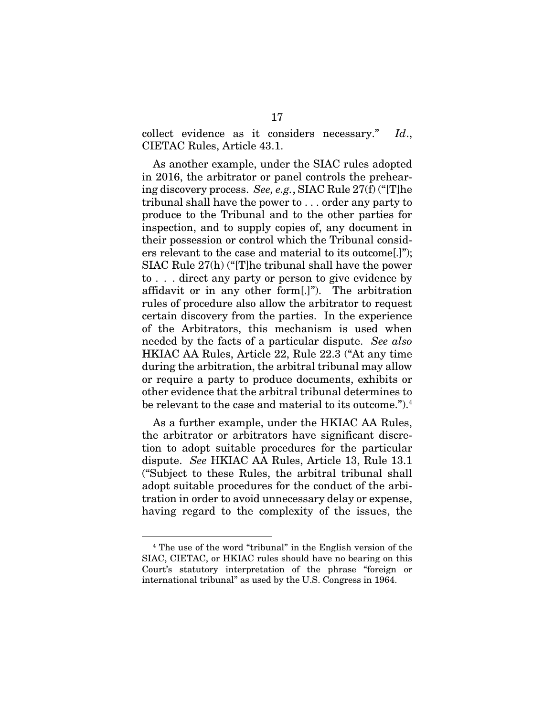collect evidence as it considers necessary." *Id*., CIETAC Rules, Article 43.1.

As another example, under the SIAC rules adopted in 2016, the arbitrator or panel controls the prehearing discovery process. *See, e.g.*, SIAC Rule 27(f) ("[T]he tribunal shall have the power to . . . order any party to produce to the Tribunal and to the other parties for inspection, and to supply copies of, any document in their possession or control which the Tribunal considers relevant to the case and material to its outcome[.]"); SIAC Rule 27(h) ("[T]he tribunal shall have the power to . . . direct any party or person to give evidence by affidavit or in any other form[.]"). The arbitration rules of procedure also allow the arbitrator to request certain discovery from the parties. In the experience of the Arbitrators, this mechanism is used when needed by the facts of a particular dispute. *See also* HKIAC AA Rules, Article 22, Rule 22.3 ("At any time during the arbitration, the arbitral tribunal may allow or require a party to produce documents, exhibits or other evidence that the arbitral tribunal determines to be relevant to the case and material to its outcome.").4

As a further example, under the HKIAC AA Rules, the arbitrator or arbitrators have significant discretion to adopt suitable procedures for the particular dispute. *See* HKIAC AA Rules, Article 13, Rule 13.1 ("Subject to these Rules, the arbitral tribunal shall adopt suitable procedures for the conduct of the arbitration in order to avoid unnecessary delay or expense, having regard to the complexity of the issues, the

<sup>4</sup> The use of the word "tribunal" in the English version of the SIAC, CIETAC, or HKIAC rules should have no bearing on this Court's statutory interpretation of the phrase "foreign or international tribunal" as used by the U.S. Congress in 1964.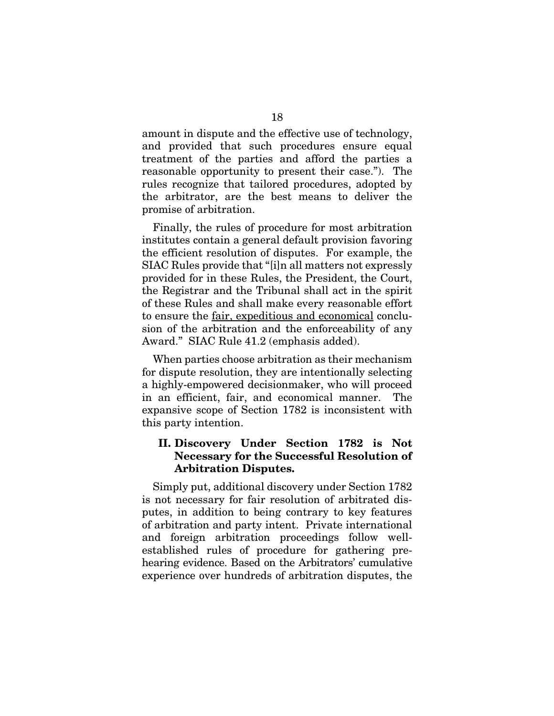amount in dispute and the effective use of technology, and provided that such procedures ensure equal treatment of the parties and afford the parties a reasonable opportunity to present their case."). The rules recognize that tailored procedures, adopted by the arbitrator, are the best means to deliver the promise of arbitration.

Finally, the rules of procedure for most arbitration institutes contain a general default provision favoring the efficient resolution of disputes. For example, the SIAC Rules provide that "[i]n all matters not expressly provided for in these Rules, the President, the Court, the Registrar and the Tribunal shall act in the spirit of these Rules and shall make every reasonable effort to ensure the fair, expeditious and economical conclusion of the arbitration and the enforceability of any Award." SIAC Rule 41.2 (emphasis added).

When parties choose arbitration as their mechanism for dispute resolution, they are intentionally selecting a highly-empowered decisionmaker, who will proceed in an efficient, fair, and economical manner. The expansive scope of Section 1782 is inconsistent with this party intention.

#### II. Discovery Under Section 1782 is Not Necessary for the Successful Resolution of Arbitration Disputes.

Simply put, additional discovery under Section 1782 is not necessary for fair resolution of arbitrated disputes, in addition to being contrary to key features of arbitration and party intent. Private international and foreign arbitration proceedings follow wellestablished rules of procedure for gathering prehearing evidence. Based on the Arbitrators' cumulative experience over hundreds of arbitration disputes, the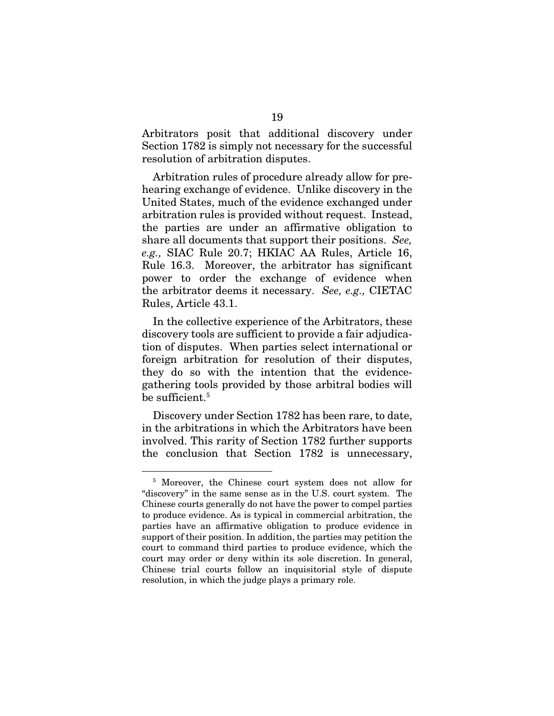Arbitrators posit that additional discovery under Section 1782 is simply not necessary for the successful resolution of arbitration disputes.

Arbitration rules of procedure already allow for prehearing exchange of evidence. Unlike discovery in the United States, much of the evidence exchanged under arbitration rules is provided without request. Instead, the parties are under an affirmative obligation to share all documents that support their positions. *See, e.g.,* SIAC Rule 20.7; HKIAC AA Rules, Article 16, Rule 16.3. Moreover, the arbitrator has significant power to order the exchange of evidence when the arbitrator deems it necessary. *See, e.g.,* CIETAC Rules, Article 43.1.

In the collective experience of the Arbitrators, these discovery tools are sufficient to provide a fair adjudication of disputes. When parties select international or foreign arbitration for resolution of their disputes, they do so with the intention that the evidencegathering tools provided by those arbitral bodies will be sufficient. $^5\,$ 

Discovery under Section 1782 has been rare, to date, in the arbitrations in which the Arbitrators have been involved. This rarity of Section 1782 further supports the conclusion that Section 1782 is unnecessary,

<sup>5</sup> Moreover, the Chinese court system does not allow for "discovery" in the same sense as in the U.S. court system. The Chinese courts generally do not have the power to compel parties to produce evidence. As is typical in commercial arbitration, the parties have an affirmative obligation to produce evidence in support of their position. In addition, the parties may petition the court to command third parties to produce evidence, which the court may order or deny within its sole discretion. In general, Chinese trial courts follow an inquisitorial style of dispute resolution, in which the judge plays a primary role.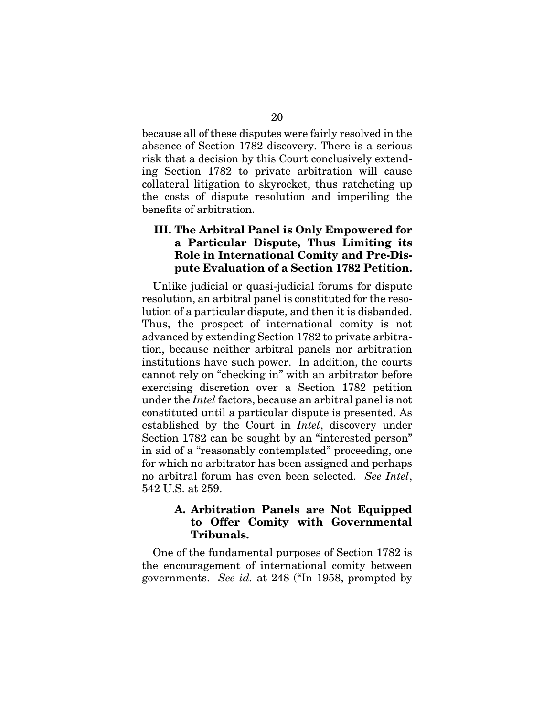because all of these disputes were fairly resolved in the absence of Section 1782 discovery. There is a serious risk that a decision by this Court conclusively extending Section 1782 to private arbitration will cause collateral litigation to skyrocket, thus ratcheting up the costs of dispute resolution and imperiling the benefits of arbitration.

#### III. The Arbitral Panel is Only Empowered for a Particular Dispute, Thus Limiting its Role in International Comity and Pre-Dispute Evaluation of a Section 1782 Petition.

Unlike judicial or quasi-judicial forums for dispute resolution, an arbitral panel is constituted for the resolution of a particular dispute, and then it is disbanded. Thus, the prospect of international comity is not advanced by extending Section 1782 to private arbitration, because neither arbitral panels nor arbitration institutions have such power. In addition, the courts cannot rely on "checking in" with an arbitrator before exercising discretion over a Section 1782 petition under the *Intel* factors, because an arbitral panel is not constituted until a particular dispute is presented. As established by the Court in *Intel*, discovery under Section 1782 can be sought by an "interested person" in aid of a "reasonably contemplated" proceeding, one for which no arbitrator has been assigned and perhaps no arbitral forum has even been selected. *See Intel*, 542 U.S. at 259.

#### A. Arbitration Panels are Not Equipped to Offer Comity with Governmental Tribunals.

One of the fundamental purposes of Section 1782 is the encouragement of international comity between governments. *See id.* at 248 ("In 1958, prompted by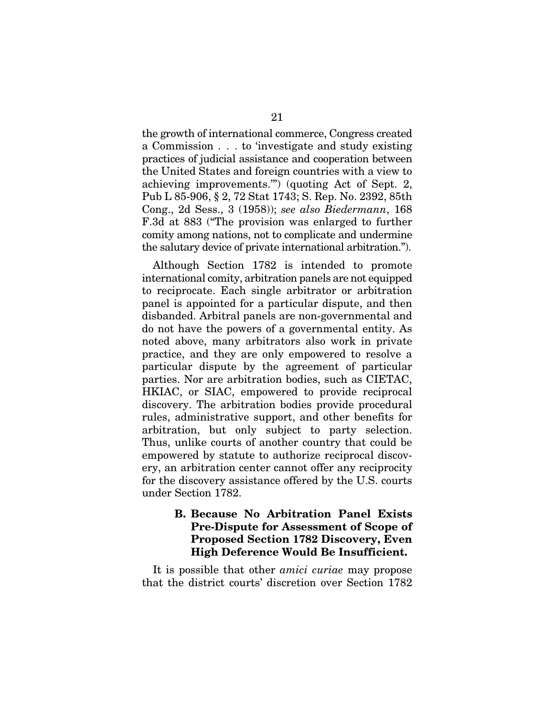the growth of international commerce, Congress created a Commission . . . to 'investigate and study existing practices of judicial assistance and cooperation between the United States and foreign countries with a view to achieving improvements.'") (quoting Act of Sept. 2, Pub L 85-906, § 2, 72 Stat 1743; S. Rep. No. 2392, 85th Cong., 2d Sess., 3 (1958)); *see also Biedermann*, 168 F.3d at 883 ("The provision was enlarged to further comity among nations, not to complicate and undermine the salutary device of private international arbitration.").

Although Section 1782 is intended to promote international comity, arbitration panels are not equipped to reciprocate. Each single arbitrator or arbitration panel is appointed for a particular dispute, and then disbanded. Arbitral panels are non-governmental and do not have the powers of a governmental entity. As noted above, many arbitrators also work in private practice, and they are only empowered to resolve a particular dispute by the agreement of particular parties. Nor are arbitration bodies, such as CIETAC, HKIAC, or SIAC, empowered to provide reciprocal discovery. The arbitration bodies provide procedural rules, administrative support, and other benefits for arbitration, but only subject to party selection. Thus, unlike courts of another country that could be empowered by statute to authorize reciprocal discovery, an arbitration center cannot offer any reciprocity for the discovery assistance offered by the U.S. courts under Section 1782.

#### B. Because No Arbitration Panel Exists Pre-Dispute for Assessment of Scope of Proposed Section 1782 Discovery, Even High Deference Would Be Insufficient.

It is possible that other *amici curiae* may propose that the district courts' discretion over Section 1782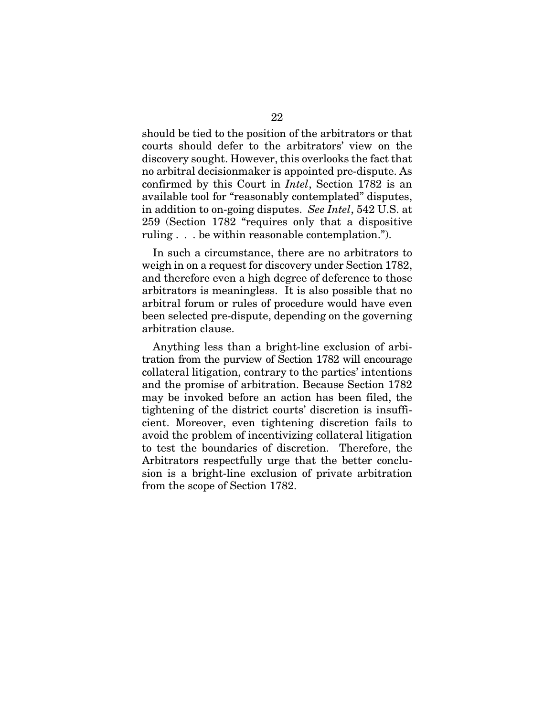should be tied to the position of the arbitrators or that courts should defer to the arbitrators' view on the discovery sought. However, this overlooks the fact that no arbitral decisionmaker is appointed pre-dispute. As confirmed by this Court in *Intel*, Section 1782 is an available tool for "reasonably contemplated" disputes, in addition to on-going disputes. *See Intel*, 542 U.S. at 259 (Section 1782 "requires only that a dispositive ruling . . . be within reasonable contemplation.").

In such a circumstance, there are no arbitrators to weigh in on a request for discovery under Section 1782, and therefore even a high degree of deference to those arbitrators is meaningless. It is also possible that no arbitral forum or rules of procedure would have even been selected pre-dispute, depending on the governing arbitration clause.

Anything less than a bright-line exclusion of arbitration from the purview of Section 1782 will encourage collateral litigation, contrary to the parties' intentions and the promise of arbitration. Because Section 1782 may be invoked before an action has been filed, the tightening of the district courts' discretion is insufficient. Moreover, even tightening discretion fails to avoid the problem of incentivizing collateral litigation to test the boundaries of discretion. Therefore, the Arbitrators respectfully urge that the better conclusion is a bright-line exclusion of private arbitration from the scope of Section 1782.